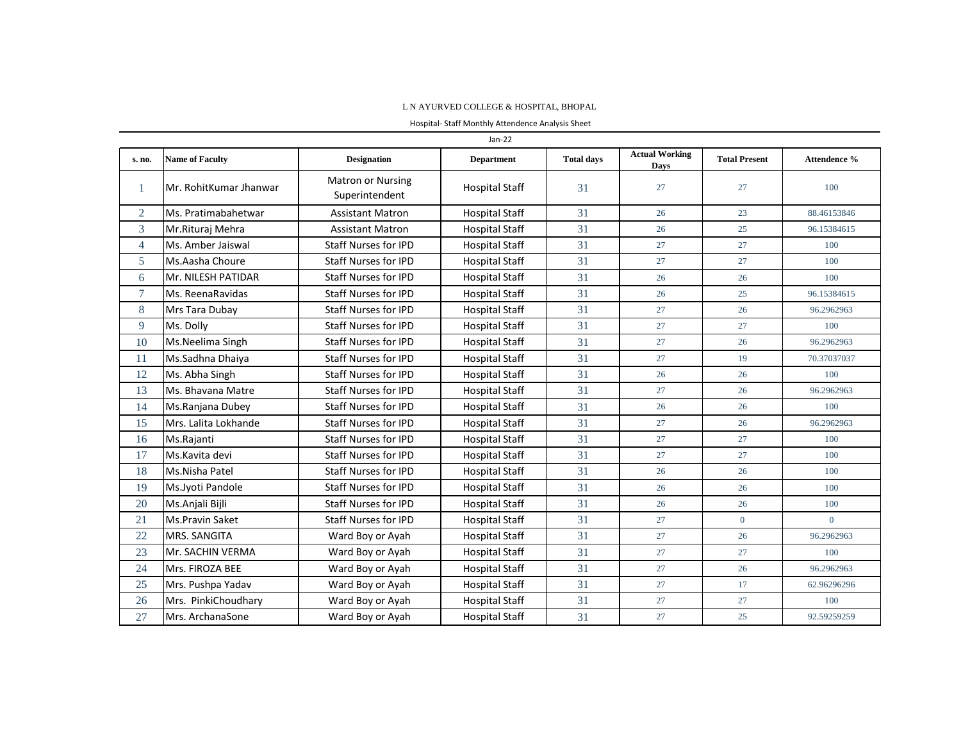## L N AYURVED COLLEGE & HOSPITAL, BHOPAL

Hospital- Staff Monthly Attendence Analysis Sheet

| Jan-22         |                        |                                            |                       |                   |                               |                      |              |
|----------------|------------------------|--------------------------------------------|-----------------------|-------------------|-------------------------------|----------------------|--------------|
| s. no.         | <b>Name of Faculty</b> | <b>Designation</b>                         | <b>Department</b>     | <b>Total days</b> | <b>Actual Working</b><br>Days | <b>Total Present</b> | Attendence % |
| 1              | Mr. RohitKumar Jhanwar | <b>Matron or Nursing</b><br>Superintendent | <b>Hospital Staff</b> | 31                | 27                            | 27                   | 100          |
| $\overline{2}$ | Ms. Pratimabahetwar    | <b>Assistant Matron</b>                    | <b>Hospital Staff</b> | 31                | 26                            | 23                   | 88.46153846  |
| 3              | Mr.Rituraj Mehra       | <b>Assistant Matron</b>                    | <b>Hospital Staff</b> | 31                | 26                            | 25                   | 96.15384615  |
| $\overline{4}$ | Ms. Amber Jaiswal      | <b>Staff Nurses for IPD</b>                | <b>Hospital Staff</b> | 31                | 27                            | 27                   | 100          |
| 5              | Ms.Aasha Choure        | <b>Staff Nurses for IPD</b>                | <b>Hospital Staff</b> | 31                | 27                            | 27                   | 100          |
| 6              | Mr. NILESH PATIDAR     | <b>Staff Nurses for IPD</b>                | <b>Hospital Staff</b> | 31                | 26                            | 26                   | 100          |
| $\tau$         | Ms. ReenaRavidas       | <b>Staff Nurses for IPD</b>                | <b>Hospital Staff</b> | 31                | 26                            | 25                   | 96.15384615  |
| 8              | Mrs Tara Dubay         | <b>Staff Nurses for IPD</b>                | <b>Hospital Staff</b> | 31                | 27                            | 26                   | 96.2962963   |
| 9              | Ms. Dolly              | <b>Staff Nurses for IPD</b>                | <b>Hospital Staff</b> | 31                | 27                            | 27                   | 100          |
| 10             | Ms.Neelima Singh       | <b>Staff Nurses for IPD</b>                | <b>Hospital Staff</b> | 31                | 27                            | 26                   | 96.2962963   |
| 11             | Ms.Sadhna Dhaiya       | <b>Staff Nurses for IPD</b>                | <b>Hospital Staff</b> | 31                | 27                            | 19                   | 70.37037037  |
| 12             | Ms. Abha Singh         | <b>Staff Nurses for IPD</b>                | <b>Hospital Staff</b> | 31                | 26                            | 26                   | 100          |
| 13             | Ms. Bhavana Matre      | <b>Staff Nurses for IPD</b>                | <b>Hospital Staff</b> | 31                | 27                            | 26                   | 96.2962963   |
| 14             | Ms.Ranjana Dubey       | <b>Staff Nurses for IPD</b>                | <b>Hospital Staff</b> | 31                | 26                            | 26                   | 100          |
| 15             | Mrs. Lalita Lokhande   | <b>Staff Nurses for IPD</b>                | <b>Hospital Staff</b> | 31                | 27                            | 26                   | 96.2962963   |
| 16             | Ms.Rajanti             | <b>Staff Nurses for IPD</b>                | <b>Hospital Staff</b> | 31                | 27                            | 27                   | 100          |
| 17             | Ms.Kavita devi         | <b>Staff Nurses for IPD</b>                | <b>Hospital Staff</b> | 31                | 27                            | 27                   | 100          |
| 18             | Ms.Nisha Patel         | <b>Staff Nurses for IPD</b>                | <b>Hospital Staff</b> | 31                | 26                            | 26                   | 100          |
| 19             | Ms.Jyoti Pandole       | <b>Staff Nurses for IPD</b>                | <b>Hospital Staff</b> | 31                | 26                            | 26                   | 100          |
| 20             | Ms.Anjali Bijli        | <b>Staff Nurses for IPD</b>                | <b>Hospital Staff</b> | 31                | 26                            | 26                   | 100          |
| 21             | <b>Ms.Pravin Saket</b> | <b>Staff Nurses for IPD</b>                | <b>Hospital Staff</b> | 31                | 27                            | $\overline{0}$       | $\Omega$     |
| 22             | <b>MRS. SANGITA</b>    | Ward Boy or Ayah                           | <b>Hospital Staff</b> | 31                | 27                            | 26                   | 96.2962963   |
| 23             | Mr. SACHIN VERMA       | Ward Boy or Ayah                           | <b>Hospital Staff</b> | 31                | 27                            | 27                   | 100          |
| 24             | Mrs. FIROZA BEE        | Ward Boy or Ayah                           | <b>Hospital Staff</b> | 31                | 27                            | 26                   | 96.2962963   |
| 25             | Mrs. Pushpa Yadav      | Ward Boy or Ayah                           | <b>Hospital Staff</b> | 31                | 27                            | 17                   | 62.96296296  |
| 26             | Mrs. PinkiChoudhary    | Ward Boy or Ayah                           | <b>Hospital Staff</b> | 31                | 27                            | 27                   | 100          |
| 27             | Mrs. ArchanaSone       | Ward Boy or Ayah                           | <b>Hospital Staff</b> | 31                | 27                            | 25                   | 92.59259259  |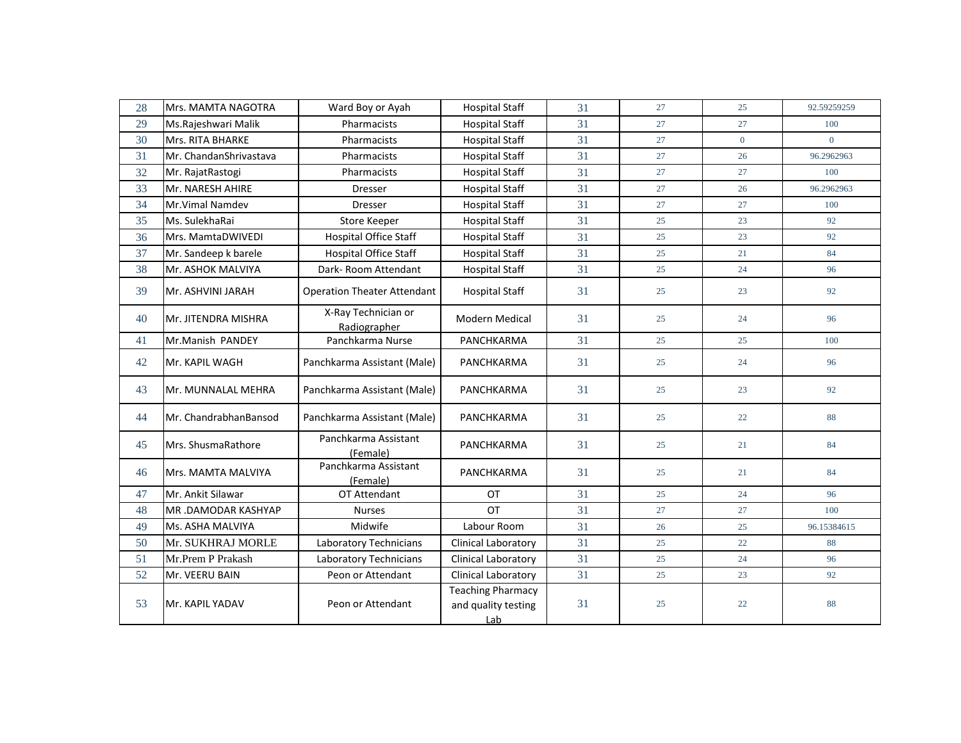| 28 | Mrs. MAMTA NAGOTRA     | Ward Boy or Ayah                    | <b>Hospital Staff</b>                                  | 31 | 27 | 25             | 92.59259259 |
|----|------------------------|-------------------------------------|--------------------------------------------------------|----|----|----------------|-------------|
| 29 | Ms.Rajeshwari Malik    | Pharmacists                         | <b>Hospital Staff</b>                                  | 31 | 27 | 27             | 100         |
| 30 | Mrs. RITA BHARKE       | Pharmacists                         | <b>Hospital Staff</b>                                  | 31 | 27 | $\overline{0}$ | $\Omega$    |
| 31 | Mr. ChandanShrivastava | Pharmacists                         | <b>Hospital Staff</b>                                  | 31 | 27 | 26             | 96.2962963  |
| 32 | Mr. RajatRastogi       | Pharmacists                         | <b>Hospital Staff</b>                                  | 31 | 27 | 27             | 100         |
| 33 | Mr. NARESH AHIRE       | <b>Dresser</b>                      | <b>Hospital Staff</b>                                  | 31 | 27 | 26             | 96.2962963  |
| 34 | Mr. Vimal Namdev       | Dresser                             | <b>Hospital Staff</b>                                  | 31 | 27 | 27             | 100         |
| 35 | Ms. SulekhaRai         | Store Keeper                        | <b>Hospital Staff</b>                                  | 31 | 25 | 23             | 92          |
| 36 | Mrs. MamtaDWIVEDI      | <b>Hospital Office Staff</b>        | <b>Hospital Staff</b>                                  | 31 | 25 | 23             | 92          |
| 37 | Mr. Sandeep k barele   | Hospital Office Staff               | <b>Hospital Staff</b>                                  | 31 | 25 | 21             | 84          |
| 38 | Mr. ASHOK MALVIYA      | Dark-Room Attendant                 | <b>Hospital Staff</b>                                  | 31 | 25 | 24             | 96          |
| 39 | Mr. ASHVINI JARAH      | <b>Operation Theater Attendant</b>  | <b>Hospital Staff</b>                                  | 31 | 25 | 23             | 92          |
| 40 | Mr. JITENDRA MISHRA    | X-Ray Technician or<br>Radiographer | <b>Modern Medical</b>                                  | 31 | 25 | 24             | 96          |
| 41 | Mr.Manish PANDEY       | Panchkarma Nurse                    | PANCHKARMA                                             | 31 | 25 | 25             | 100         |
| 42 | Mr. KAPIL WAGH         | Panchkarma Assistant (Male)         | PANCHKARMA                                             | 31 | 25 | 24             | 96          |
| 43 | lMr. MUNNALAL MEHRA    | Panchkarma Assistant (Male)         | <b>PANCHKARMA</b>                                      | 31 | 25 | 23             | 92          |
| 44 | Mr. ChandrabhanBansod  | Panchkarma Assistant (Male)         | PANCHKARMA                                             | 31 | 25 | 22             | 88          |
| 45 | Mrs. ShusmaRathore     | Panchkarma Assistant<br>(Female)    | PANCHKARMA                                             | 31 | 25 | 21             | 84          |
| 46 | Mrs. MAMTA MALVIYA     | Panchkarma Assistant<br>(Female)    | PANCHKARMA                                             | 31 | 25 | 21             | 84          |
| 47 | Mr. Ankit Silawar      | OT Attendant                        | OT                                                     | 31 | 25 | 24             | 96          |
| 48 | MR.DAMODAR KASHYAP     | <b>Nurses</b>                       | OT                                                     | 31 | 27 | 27             | 100         |
| 49 | Ms. ASHA MALVIYA       | Midwife                             | Labour Room                                            | 31 | 26 | 25             | 96.15384615 |
| 50 | Mr. SUKHRAJ MORLE      | Laboratory Technicians              | Clinical Laboratory                                    | 31 | 25 | 22             | 88          |
| 51 | Mr.Prem P Prakash      | Laboratory Technicians              | Clinical Laboratory                                    | 31 | 25 | 24             | 96          |
| 52 | Mr. VEERU BAIN         | Peon or Attendant                   | Clinical Laboratory                                    | 31 | 25 | 23             | 92          |
| 53 | Mr. KAPIL YADAV        | Peon or Attendant                   | <b>Teaching Pharmacy</b><br>and quality testing<br>Lab | 31 | 25 | 22             | 88          |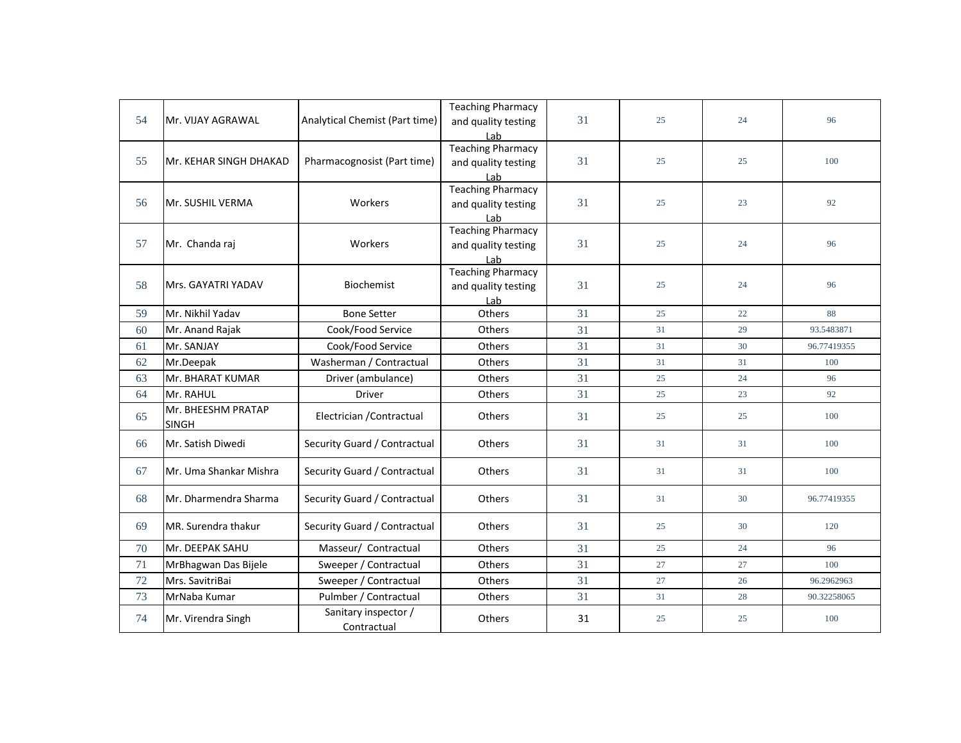| 54 | Mr. VIJAY AGRAWAL                  | Analytical Chemist (Part time)      | Teaching Pharmacy<br>and quality testing<br>Lab        | 31 | 25 | 24 | 96          |
|----|------------------------------------|-------------------------------------|--------------------------------------------------------|----|----|----|-------------|
| 55 | Mr. KEHAR SINGH DHAKAD             | Pharmacognosist (Part time)         | <b>Teaching Pharmacy</b><br>and quality testing<br>Lab | 31 | 25 | 25 | 100         |
| 56 | Mr. SUSHIL VERMA                   | Workers                             | <b>Teaching Pharmacy</b><br>and quality testing<br>Lab | 31 | 25 | 23 | 92          |
| 57 | Mr. Chanda raj                     | Workers                             | <b>Teaching Pharmacy</b><br>and quality testing<br>Lab | 31 | 25 | 24 | 96          |
| 58 | Mrs. GAYATRI YADAV                 | Biochemist                          | <b>Teaching Pharmacy</b><br>and quality testing<br>Lab | 31 | 25 | 24 | 96          |
| 59 | Mr. Nikhil Yadav                   | <b>Bone Setter</b>                  | Others                                                 | 31 | 25 | 22 | 88          |
| 60 | Mr. Anand Rajak                    | Cook/Food Service                   | Others                                                 | 31 | 31 | 29 | 93.5483871  |
| 61 | Mr. SANJAY                         | Cook/Food Service                   | Others                                                 | 31 | 31 | 30 | 96.77419355 |
| 62 | Mr.Deepak                          | Washerman / Contractual             | Others                                                 | 31 | 31 | 31 | 100         |
| 63 | Mr. BHARAT KUMAR                   | Driver (ambulance)                  | Others                                                 | 31 | 25 | 24 | 96          |
| 64 | Mr. RAHUL                          | Driver                              | Others                                                 | 31 | 25 | 23 | 92          |
| 65 | Mr. BHEESHM PRATAP<br><b>SINGH</b> | Electrician / Contractual           | Others                                                 | 31 | 25 | 25 | 100         |
| 66 | Mr. Satish Diwedi                  | Security Guard / Contractual        | <b>Others</b>                                          | 31 | 31 | 31 | 100         |
| 67 | Mr. Uma Shankar Mishra             | Security Guard / Contractual        | <b>Others</b>                                          | 31 | 31 | 31 | 100         |
| 68 | Mr. Dharmendra Sharma              | Security Guard / Contractual        | Others                                                 | 31 | 31 | 30 | 96.77419355 |
| 69 | MR. Surendra thakur                | Security Guard / Contractual        | Others                                                 | 31 | 25 | 30 | 120         |
| 70 | Mr. DEEPAK SAHU                    | Masseur/ Contractual                | Others                                                 | 31 | 25 | 24 | 96          |
| 71 | MrBhagwan Das Bijele               | Sweeper / Contractual               | Others                                                 | 31 | 27 | 27 | 100         |
| 72 | Mrs. SavitriBai                    | Sweeper / Contractual               | Others                                                 | 31 | 27 | 26 | 96.2962963  |
| 73 | MrNaba Kumar                       | Pulmber / Contractual               | Others                                                 | 31 | 31 | 28 | 90.32258065 |
| 74 | Mr. Virendra Singh                 | Sanitary inspector /<br>Contractual | Others                                                 | 31 | 25 | 25 | 100         |